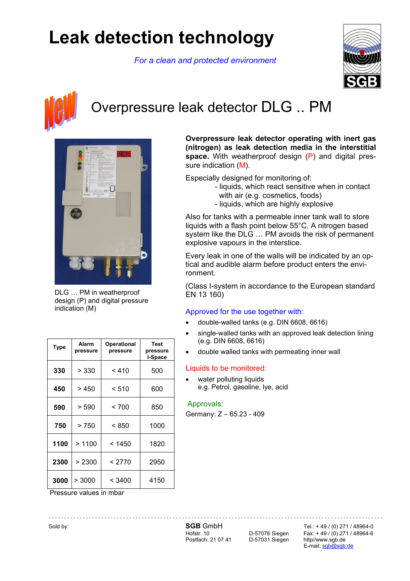# **Leak detection technology**

*For a clean and protected environment* 





## Overpressure leak detector DLG .. PM



DLG … PM in weatherproof design (P) and digital pressure indication (M)

| <b>Type</b> | Alarm<br>pressure | Operational<br>pressure | <b>Test</b><br>pressure<br>I-Space |
|-------------|-------------------|-------------------------|------------------------------------|
| 330         | > 330             | < 410                   | 500                                |
| 450         | > 450             | < 510                   | 600                                |
| 590         | > 590             | < 700                   | 850                                |
| 750         | >750              | < 850                   | 1000                               |
| 1100        | >1100             | < 1450                  | 1820                               |
| 2300        | > 2300            | < 2770                  | 2950                               |
| 3000        | > 3000            | < 3400                  | 4150                               |

Pressure values in mbar

Postfach: 21 07 41 D-57031 Siegen http//www.sgb.de

Sold by: **SGB GmbH** Tel.: + 49 / (0) 271 / 48964-0<br>Hofstr. 10 D-57076 Siegen Fax: + 49 / (0) 271 / 48964-6 Fax:  $+49 / (0)$  271 / 48964-6 E-mail: sgb@sgb.de

**Overpressure leak detector operating with inert gas (nitrogen) as leak detection media in the interstitial space.** With weatherproof design (P) and digital pressure indication (M).

Especially designed for monitoring of:

- liquids, which react sensitive when in contact with air (e.g. cosmetics, foods)
- liquids, which are highly explosive

Also for tanks with a permeable inner tank wall to store liquids with a flash point below 55°C. A nitrogen based system like the DLG … PM avoids the risk of permanent explosive vapours in the interstice.

Every leak in one of the walls will be indicated by an optical and audible alarm before product enters the environment.

(Class I-system in accordance to the European standard EN 13 160)

#### Approved for the use together with:

- double-walled tanks (e.g. DIN 6608, 6616)
- single-walled tanks with an approved leak detection lining (e.g. DIN 6608, 6616)
- double walled tanks with permeating inner wall

#### Liquids to be monitored:

water polluting liquids e.g. Petrol, gasoline, lye, acid

#### Approvals:

Germany: Z – 65.23 - 409